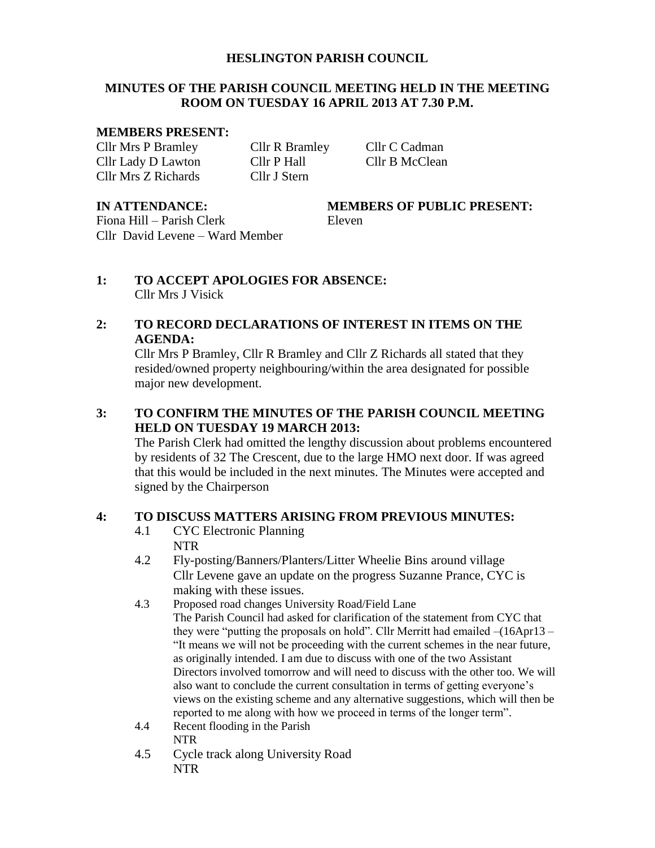#### **HESLINGTON PARISH COUNCIL**

#### **MINUTES OF THE PARISH COUNCIL MEETING HELD IN THE MEETING ROOM ON TUESDAY 16 APRIL 2013 AT 7.30 P.M.**

#### **MEMBERS PRESENT:**

Cllr Mrs P Bramley Cllr R Bramley Cllr C Cadman Cllr Lady D Lawton Cllr P Hall Cllr B McClean Cllr Mrs Z Richards Cllr J Stern

**IN ATTENDANCE: MEMBERS OF PUBLIC PRESENT:**

Fiona Hill – Parish Clerk Eleven Cllr David Levene – Ward Member

**1: TO ACCEPT APOLOGIES FOR ABSENCE:** Cllr Mrs J Visick

## **2: TO RECORD DECLARATIONS OF INTEREST IN ITEMS ON THE AGENDA:**

Cllr Mrs P Bramley, Cllr R Bramley and Cllr Z Richards all stated that they resided/owned property neighbouring/within the area designated for possible major new development.

# **3: TO CONFIRM THE MINUTES OF THE PARISH COUNCIL MEETING HELD ON TUESDAY 19 MARCH 2013:**

The Parish Clerk had omitted the lengthy discussion about problems encountered by residents of 32 The Crescent, due to the large HMO next door. If was agreed that this would be included in the next minutes. The Minutes were accepted and signed by the Chairperson

# **4: TO DISCUSS MATTERS ARISING FROM PREVIOUS MINUTES:**

- 4.1 CYC Electronic Planning NTR
- 4.2 Fly-posting/Banners/Planters/Litter Wheelie Bins around village Cllr Levene gave an update on the progress Suzanne Prance, CYC is making with these issues.
- 4.3 Proposed road changes University Road/Field Lane The Parish Council had asked for clarification of the statement from CYC that they were "putting the proposals on hold". Cllr Merritt had emailed –(16Apr13 – "It means we will not be proceeding with the current schemes in the near future, as originally intended. I am due to discuss with one of the two Assistant Directors involved tomorrow and will need to discuss with the other too. We will also want to conclude the current consultation in terms of getting everyone's views on the existing scheme and any alternative suggestions, which will then be reported to me along with how we proceed in terms of the longer term".
- 4.4 Recent flooding in the Parish NTR
- 4.5 Cycle track along University Road NTR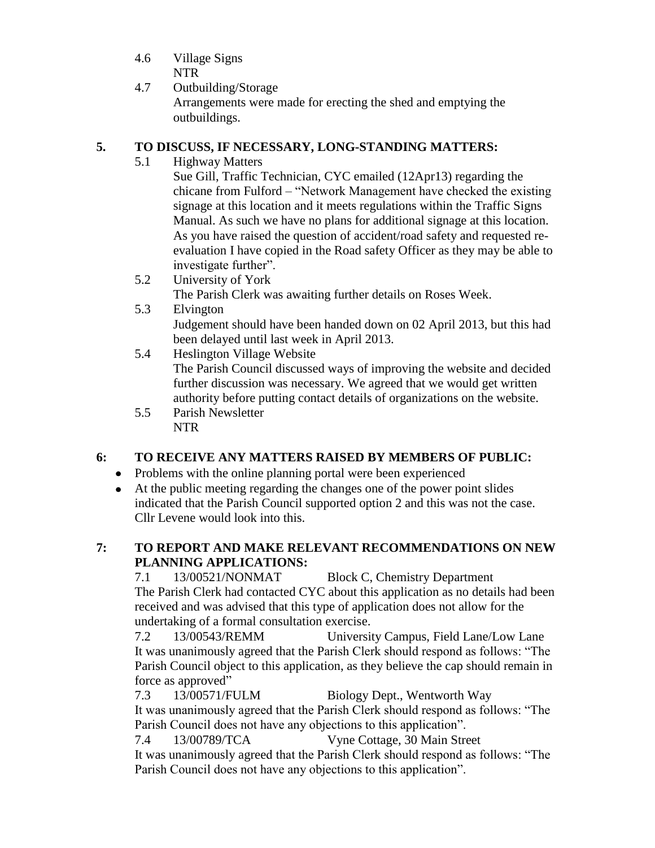- 4.6 Village Signs NTR
- 4.7 Outbuilding/Storage Arrangements were made for erecting the shed and emptying the outbuildings.

# **5. TO DISCUSS, IF NECESSARY, LONG-STANDING MATTERS:**

5.1 Highway Matters

Sue Gill, Traffic Technician, CYC emailed (12Apr13) regarding the chicane from Fulford – "Network Management have checked the existing signage at this location and it meets regulations within the Traffic Signs Manual. As such we have no plans for additional signage at this location. As you have raised the question of accident/road safety and requested reevaluation I have copied in the Road safety Officer as they may be able to investigate further".

- 5.2 University of York The Parish Clerk was awaiting further details on Roses Week.
- 5.3 Elvington Judgement should have been handed down on 02 April 2013, but this had been delayed until last week in April 2013.
- 5.4 Heslington Village Website The Parish Council discussed ways of improving the website and decided further discussion was necessary. We agreed that we would get written authority before putting contact details of organizations on the website.
- 5.5 Parish Newsletter NTR

# **6: TO RECEIVE ANY MATTERS RAISED BY MEMBERS OF PUBLIC:**

- Problems with the online planning portal were been experienced
- At the public meeting regarding the changes one of the power point slides indicated that the Parish Council supported option 2 and this was not the case. Cllr Levene would look into this.

# **7: TO REPORT AND MAKE RELEVANT RECOMMENDATIONS ON NEW PLANNING APPLICATIONS:**

7.1 13/00521/NONMAT Block C, Chemistry Department The Parish Clerk had contacted CYC about this application as no details had been received and was advised that this type of application does not allow for the undertaking of a formal consultation exercise.

7.2 13/00543/REMM University Campus, Field Lane/Low Lane It was unanimously agreed that the Parish Clerk should respond as follows: "The Parish Council object to this application, as they believe the cap should remain in force as approved"

7.3 13/00571/FULM Biology Dept., Wentworth Way It was unanimously agreed that the Parish Clerk should respond as follows: "The Parish Council does not have any objections to this application".

7.4 13/00789/TCA Vyne Cottage, 30 Main Street It was unanimously agreed that the Parish Clerk should respond as follows: "The Parish Council does not have any objections to this application".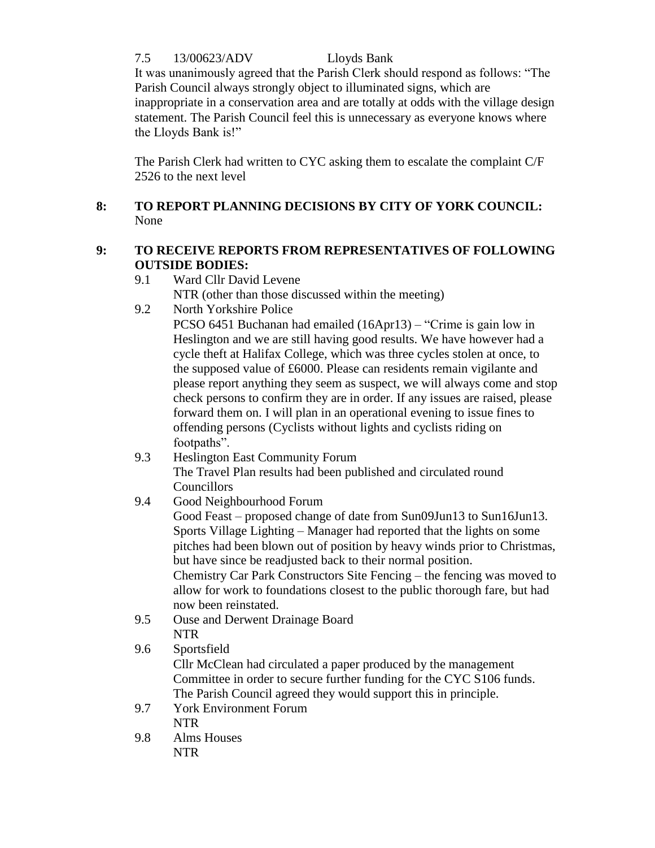7.5 13/00623/ADV Lloyds Bank

It was unanimously agreed that the Parish Clerk should respond as follows: "The Parish Council always strongly object to illuminated signs, which are inappropriate in a conservation area and are totally at odds with the village design statement. The Parish Council feel this is unnecessary as everyone knows where the Lloyds Bank is!"

The Parish Clerk had written to CYC asking them to escalate the complaint C/F 2526 to the next level

# **8: TO REPORT PLANNING DECISIONS BY CITY OF YORK COUNCIL:** None

# **9: TO RECEIVE REPORTS FROM REPRESENTATIVES OF FOLLOWING OUTSIDE BODIES:**

- 9.1 Ward Cllr David Levene NTR (other than those discussed within the meeting)
- 9.2 North Yorkshire Police

PCSO 6451 Buchanan had emailed (16Apr13) – "Crime is gain low in Heslington and we are still having good results. We have however had a cycle theft at Halifax College, which was three cycles stolen at once, to the supposed value of £6000. Please can residents remain vigilante and please report anything they seem as suspect, we will always come and stop check persons to confirm they are in order. If any issues are raised, please forward them on. I will plan in an operational evening to issue fines to offending persons (Cyclists without lights and cyclists riding on footpaths".

9.3 Heslington East Community Forum The Travel Plan results had been published and circulated round Councillors

# 9.4 Good Neighbourhood Forum

Good Feast – proposed change of date from Sun09Jun13 to Sun16Jun13. Sports Village Lighting – Manager had reported that the lights on some pitches had been blown out of position by heavy winds prior to Christmas, but have since be readjusted back to their normal position.

Chemistry Car Park Constructors Site Fencing – the fencing was moved to allow for work to foundations closest to the public thorough fare, but had now been reinstated.

- 9.5 Ouse and Derwent Drainage Board NTR
- 9.6 Sportsfield

Cllr McClean had circulated a paper produced by the management Committee in order to secure further funding for the CYC S106 funds. The Parish Council agreed they would support this in principle.

- 9.7 York Environment Forum NTR
- 9.8 Alms Houses NTR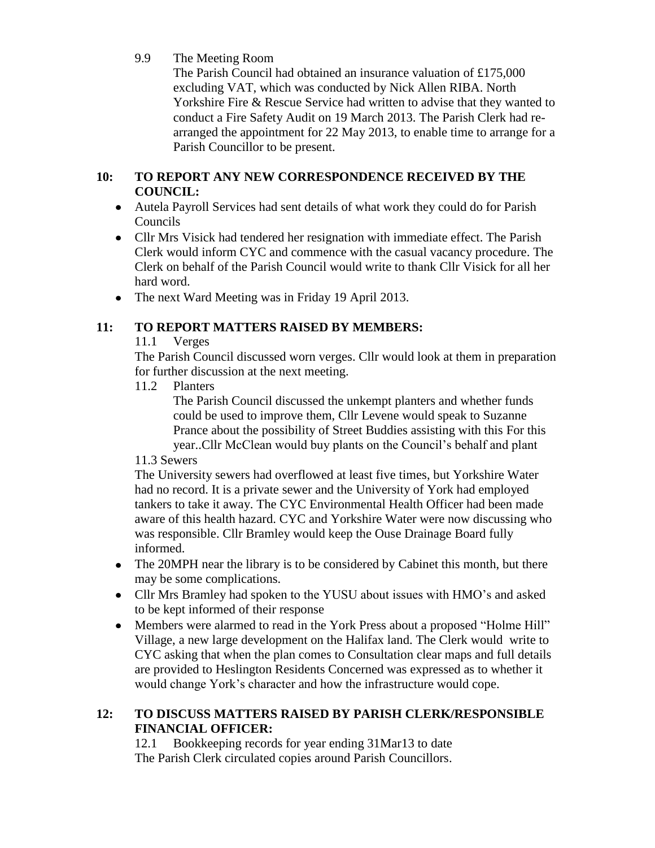# 9.9 The Meeting Room

The Parish Council had obtained an insurance valuation of £175,000 excluding VAT, which was conducted by Nick Allen RIBA. North Yorkshire Fire & Rescue Service had written to advise that they wanted to conduct a Fire Safety Audit on 19 March 2013. The Parish Clerk had rearranged the appointment for 22 May 2013, to enable time to arrange for a Parish Councillor to be present.

# **10: TO REPORT ANY NEW CORRESPONDENCE RECEIVED BY THE COUNCIL:**

- Autela Payroll Services had sent details of what work they could do for Parish Councils
- Cllr Mrs Visick had tendered her resignation with immediate effect. The Parish Clerk would inform CYC and commence with the casual vacancy procedure. The Clerk on behalf of the Parish Council would write to thank Cllr Visick for all her hard word.
- The next Ward Meeting was in Friday 19 April 2013.

# **11: TO REPORT MATTERS RAISED BY MEMBERS:**

11.1 Verges

The Parish Council discussed worn verges. Cllr would look at them in preparation for further discussion at the next meeting.

11.2 Planters

The Parish Council discussed the unkempt planters and whether funds could be used to improve them, Cllr Levene would speak to Suzanne Prance about the possibility of Street Buddies assisting with this For this year..Cllr McClean would buy plants on the Council's behalf and plant

# 11.3 Sewers

The University sewers had overflowed at least five times, but Yorkshire Water had no record. It is a private sewer and the University of York had employed tankers to take it away. The CYC Environmental Health Officer had been made aware of this health hazard. CYC and Yorkshire Water were now discussing who was responsible. Cllr Bramley would keep the Ouse Drainage Board fully informed.

- The 20MPH near the library is to be considered by Cabinet this month, but there may be some complications.
- Cllr Mrs Bramley had spoken to the YUSU about issues with HMO's and asked to be kept informed of their response
- Members were alarmed to read in the York Press about a proposed "Holme Hill" Village, a new large development on the Halifax land. The Clerk would write to CYC asking that when the plan comes to Consultation clear maps and full details are provided to Heslington Residents Concerned was expressed as to whether it would change York's character and how the infrastructure would cope.

# **12: TO DISCUSS MATTERS RAISED BY PARISH CLERK/RESPONSIBLE FINANCIAL OFFICER:**

12.1 Bookkeeping records for year ending 31Mar13 to date The Parish Clerk circulated copies around Parish Councillors.